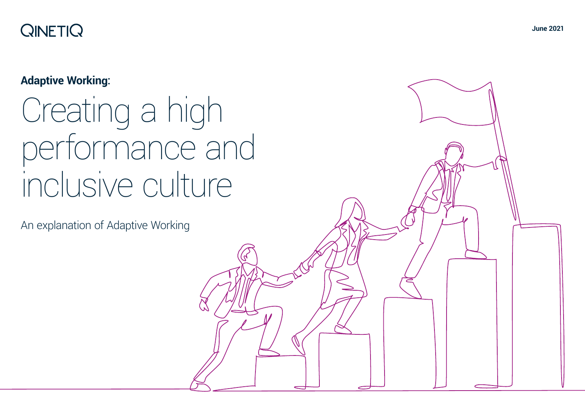# **QINETIQ**

# **Adaptive Working:**

# Creating a high performance and inclusive culture

An explanation of Adaptive Working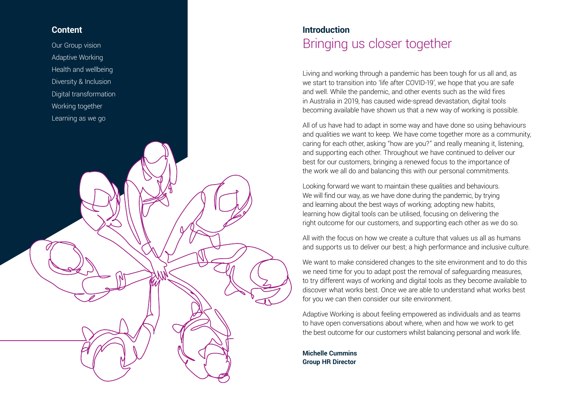# **Content**

Our Group vision Adaptive Working Health and wellbeing Diversity & Inclusion Digital transformation Working together Learning as we go

# **Introduction** Bringing us closer together

Living and working through a pandemic has been tough for us all and, as we start to transition into 'life after COVID-19', we hope that you are safe and well. While the pandemic, and other events such as the wild fires in Australia in 2019, has caused wide-spread devastation, digital tools becoming available have shown us that a new way of working is possible.

All of us have had to adapt in some way and have done so using behaviours and qualities we want to keep. We have come together more as a community, caring for each other, asking "how are you?" and really meaning it, listening, and supporting each other. Throughout we have continued to deliver our best for our customers, bringing a renewed focus to the importance of the work we all do and balancing this with our personal commitments.

Looking forward we want to maintain these qualities and behaviours. We will find our way, as we have done during the pandemic, by trying and learning about the best ways of working; adopting new habits, learning how digital tools can be utilised, focusing on delivering the right outcome for our customers, and supporting each other as we do so.

All with the focus on how we create a culture that values us all as humans and supports us to deliver our best; a high performance and inclusive culture.

We want to make considered changes to the site environment and to do this we need time for you to adapt post the removal of safeguarding measures, to try different ways of working and digital tools as they become available to discover what works best. Once we are able to understand what works best for you we can then consider our site environment.

Adaptive Working is about feeling empowered as individuals and as teams to have open conversations about where, when and how we work to get the best outcome for our customers whilst balancing personal and work life.

**Michelle Cummins Group HR Director**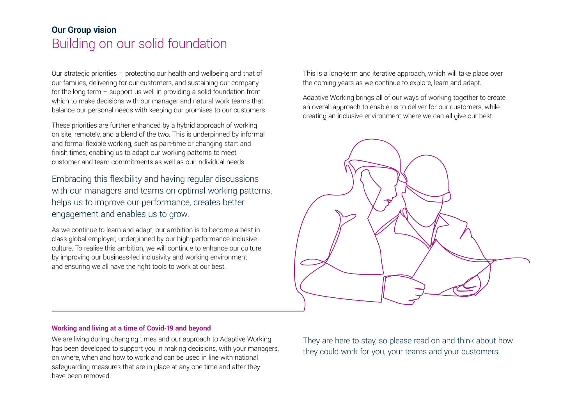# **Our Group vision** Building on our solid foundation

Our strategic priorities – protecting our health and wellbeing and that of our families, delivering for our customers, and sustaining our company for the long term  $-$  support us well in providing a solid foundation from which to make decisions with our manager and natural work teams that balance our personal needs with keeping our promises to our customers.

These priorities are further enhanced by a hybrid approach of working on site, remotely, and a blend of the two. This is underpinned by informal and formal flexible working, such as part-time or changing start and finish times, enabling us to adapt our working patterns to meet customer and team commitments as well as our individual needs.

Embracing this flexibility and having regular discussions with our managers and teams on optimal working patterns, helps us to improve our performance, creates better engagement and enables us to grow.

As we continue to learn and adapt, our ambition is to become a best in class global employer, underpinned by our high-performance inclusive culture. To realise this ambition, we will continue to enhance our culture by improving our business-led inclusivity and working environment and ensuring we all have the right tools to work at our best.

This is a long-term and iterative approach, which will take place over the coming years as we continue to explore, learn and adapt.

Adaptive Working brings all of our ways of working together to create an overall approach to enable us to deliver for our customers, while creating an inclusive environment where we can all give our best.



# **Working and living at a time of Covid-19 and beyond**

We are living during changing times and our approach to Adaptive Working has been developed to support you in making decisions, with your managers, on where, when and how to work and can be used in line with national safeguarding measures that are in place at any one time and after they have been removed.

They are here to stay, so please read on and think about how they could work for you, your teams and your customers.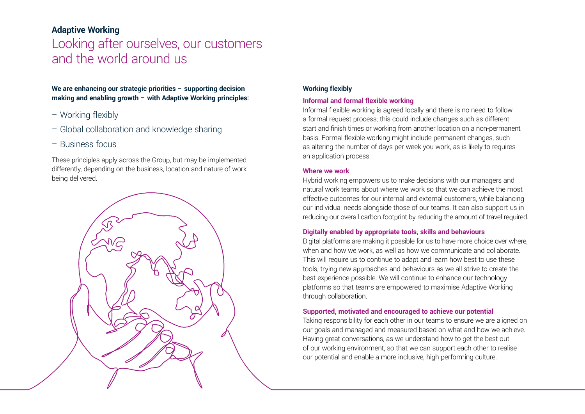# **Adaptive Working** Looking after ourselves, our customers and the world around us

# **We are enhancing our strategic priorities – supporting decision making and enabling growth – with Adaptive Working principles:**

- Working flexibly
- Global collaboration and knowledge sharing
- Business focus

These principles apply across the Group, but may be implemented differently, depending on the business, location and nature of work being delivered.



# **Working flexibly**

# **Informal and formal flexible working**

Informal flexible working is agreed locally and there is no need to follow a formal request process; this could include changes such as different start and finish times or working from another location on a non-permanent basis. Formal flexible working might include permanent changes, such as altering the number of days per week you work, as is likely to requires an application process.

# **Where we work**

Hybrid working empowers us to make decisions with our managers and natural work teams about where we work so that we can achieve the most effective outcomes for our internal and external customers, while balancing our individual needs alongside those of our teams. It can also support us in reducing our overall carbon footprint by reducing the amount of travel required.

# **Digitally enabled by appropriate tools, skills and behaviours**

Digital platforms are making it possible for us to have more choice over where, when and how we work, as well as how we communicate and collaborate. This will require us to continue to adapt and learn how best to use these tools, trying new approaches and behaviours as we all strive to create the best experience possible. We will continue to enhance our technology platforms so that teams are empowered to maximise Adaptive Working through collaboration.

# **Supported, motivated and encouraged to achieve our potential**

Taking responsibility for each other in our teams to ensure we are aligned on our goals and managed and measured based on what and how we achieve. Having great conversations, as we understand how to get the best out of our working environment, so that we can support each other to realise our potential and enable a more inclusive, high performing culture.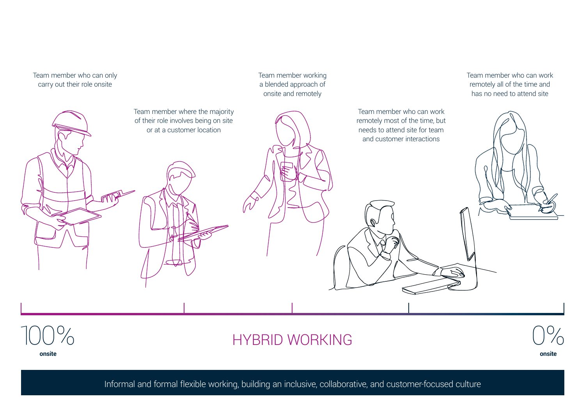

**onsite**

**HYBRID WORKING** 

**onsite**

Informal and formal flexible working, building an inclusive, collaborative, and customer-focused culture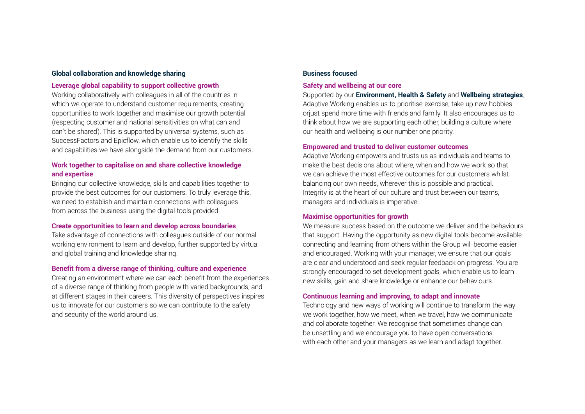## **Global collaboration and knowledge sharing**

# **Leverage global capability to support collective growth**

Working collaboratively with colleagues in all of the countries in which we operate to understand customer requirements, creating opportunities to work together and maximise our growth potential (respecting customer and national sensitivities on what can and can't be shared). This is supported by universal systems, such as SuccessFactors and Epicflow, which enable us to identify the skills and capabilities we have alongside the demand from our customers.

# **Work together to capitalise on and share collective knowledge and expertise**

Bringing our collective knowledge, skills and capabilities together to provide the best outcomes for our customers. To truly leverage this, we need to establish and maintain connections with colleagues from across the business using the digital tools provided.

# **Create opportunities to learn and develop across boundaries**

Take advantage of connections with colleagues outside of our normal working environment to learn and develop, further supported by virtual and global training and knowledge sharing.

# **Benefit from a diverse range of thinking, culture and experience**

Creating an environment where we can each benefit from the experiences of a diverse range of thinking from people with varied backgrounds, and at different stages in their careers. This diversity of perspectives inspires us to innovate for our customers so we can contribute to the safety and security of the world around us.

## **Business focused**

# **Safety and wellbeing at our core**

Supported by our **[Environment, Health & Safety](https://portal.qinetiq.com/Our-Company/Enabling-our-business/Health-Safety-and-Environment)** and **[Wellbeing strategies](https://portal.qinetiq.com/Our-Company/Enabling-our-business/Human-Resources/Human-Resources-UK/People/Wellbeing)**, Adaptive Working enables us to prioritise exercise, take up new hobbies orjust spend more time with friends and family. It also encourages us to think about how we are supporting each other, building a culture where our health and wellbeing is our number one priority.

## **Empowered and trusted to deliver customer outcomes**

Adaptive Working empowers and trusts us as individuals and teams to make the best decisions about where, when and how we work so that we can achieve the most effective outcomes for our customers whilst balancing our own needs, wherever this is possible and practical. Integrity is at the heart of our culture and trust between our teams, managers and individuals is imperative.

## **Maximise opportunities for growth**

We measure success based on the outcome we deliver and the behaviours that support. Having the opportunity as new digital tools become available connecting and learning from others within the Group will become easier and encouraged. Working with your manager, we ensure that our goals are clear and understood and seek regular feedback on progress. You are strongly encouraged to set development goals, which enable us to learn new skills, gain and share knowledge or enhance our behaviours.

# **Continuous learning and improving, to adapt and innovate**

Technology and new ways of working will continue to transform the way we work together, how we meet, when we travel, how we communicate and collaborate together. We recognise that sometimes change can be unsettling and we encourage you to have open conversations with each other and your managers as we learn and adapt together.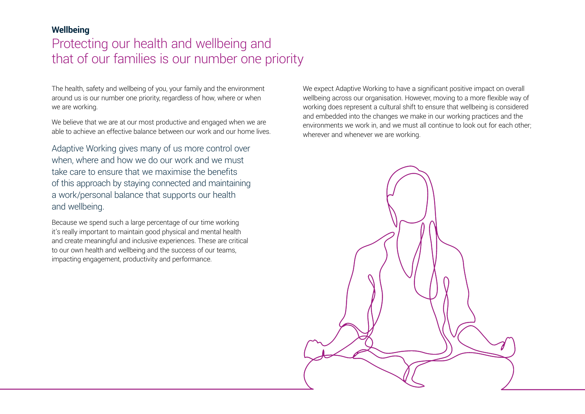# **Wellbeing**

# Protecting our health and wellbeing and that of our families is our number one priority

The health, safety and wellbeing of you, your family and the environment around us is our number one priority, regardless of how, where or when we are working.

We believe that we are at our most productive and engaged when we are able to achieve an effective balance between our work and our home lives.

Adaptive Working gives many of us more control over when, where and how we do our work and we must take care to ensure that we maximise the benefits of this approach by staying connected and maintaining a work/personal balance that supports our health and wellbeing.

Because we spend such a large percentage of our time working it's really important to maintain good physical and mental health and create meaningful and inclusive experiences. These are critical to our own health and wellbeing and the success of our teams, impacting engagement, productivity and performance.

We expect Adaptive Working to have a significant positive impact on overall wellbeing across our organisation. However, moving to a more flexible way of working does represent a cultural shift to ensure that wellbeing is considered and embedded into the changes we make in our working practices and the environments we work in, and we must all continue to look out for each other; wherever and whenever we are working.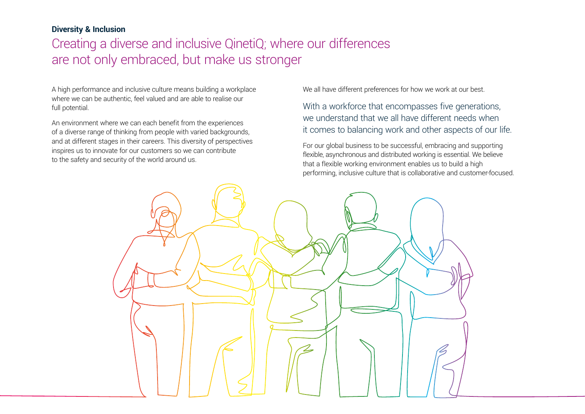# **Diversity & Inclusion**

# Creating a diverse and inclusive QinetiQ; where our differences are not only embraced, but make us stronger

A high performance and inclusive culture means building a workplace where we can be authentic, feel valued and are able to realise our full potential.

An environment where we can each benefit from the experiences of a diverse range of thinking from people with varied backgrounds, and at different stages in their careers. This diversity of perspectives inspires us to innovate for our customers so we can contribute to the safety and security of the world around us.

We all have different preferences for how we work at our best.

With a workforce that encompasses five generations, we understand that we all have different needs when it comes to balancing work and other aspects of our life.

For our global business to be successful, embracing and supporting flexible, asynchronous and distributed working is essential. We believe that a flexible working environment enables us to build a high performing, inclusive culture that is collaborative and customer-focused.

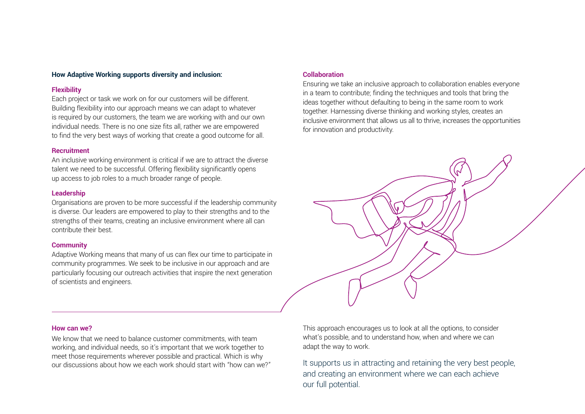# **How Adaptive Working supports diversity and inclusion:**

## **Flexibility**

Each project or task we work on for our customers will be different. Building flexibility into our approach means we can adapt to whatever is required by our customers, the team we are working with and our own individual needs. There is no one size fits all, rather we are empowered to find the very best ways of working that create a good outcome for all.

## **Recruitment**

An inclusive working environment is critical if we are to attract the diverse talent we need to be successful. Offering flexibility significantly opens up access to job roles to a much broader range of people.

#### **Leadership**

Organisations are proven to be more successful if the leadership community is diverse. Our leaders are empowered to play to their strengths and to the strengths of their teams, creating an inclusive environment where all can contribute their best.

## **Community**

Adaptive Working means that many of us can flex our time to participate in community programmes. We seek to be inclusive in our approach and are particularly focusing our outreach activities that inspire the next generation of scientists and engineers.

# **Collaboration**

Ensuring we take an inclusive approach to collaboration enables everyone in a team to contribute; finding the techniques and tools that bring the ideas together without defaulting to being in the same room to work together. Harnessing diverse thinking and working styles, creates an inclusive environment that allows us all to thrive, increases the opportunities for innovation and productivity.



#### **How can we?**

We know that we need to balance customer commitments, with team working, and individual needs, so it's important that we work together to meet those requirements wherever possible and practical. Which is why our discussions about how we each work should start with "how can we?" This approach encourages us to look at all the options, to consider what's possible, and to understand how, when and where we can adapt the way to work.

It supports us in attracting and retaining the very best people, and creating an environment where we can each achieve our full potential.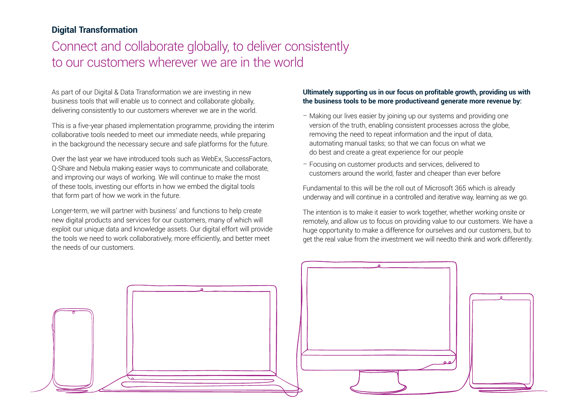# **Digital Transformation**

# Connect and collaborate globally, to deliver consistently to our customers wherever we are in the world

As part of our Digital & Data Transformation we are investing in new business tools that will enable us to connect and collaborate globally, delivering consistently to our customers wherever we are in the world.

This is a five-year phased implementation programme, providing the interim collaborative tools needed to meet our immediate needs, while preparing in the background the necessary secure and safe platforms for the future.

Over the last year we have introduced tools such as WebEx, SuccessFactors, Q-Share and Nebula making easier ways to communicate and collaborate, and improving our ways of working. We will continue to make the most of these tools, investing our efforts in how we embed the digital tools that form part of how we work in the future.

Longer-term, we will partner with business' and functions to help create new digital products and services for our customers, many of which will exploit our unique data and knowledge assets. Our digital effort will provide the tools we need to work collaboratively, more efficiently, and better meet the needs of our customers.

# **Ultimately supporting us in our focus on profitable growth, providing us with the business tools to be more productiveand generate more revenue by:**

- Making our lives easier by joining up our systems and providing one version of the truth, enabling consistent processes across the globe, removing the need to repeat information and the input of data, automating manual tasks; so that we can focus on what we do best and create a great experience for our people
- Focusing on customer products and services, delivered to customers around the world, faster and cheaper than ever before

Fundamental to this will be the roll out of Microsoft 365 which is already underway and will continue in a controlled and iterative way, learning as we go.

The intention is to make it easier to work together, whether working onsite or remotely, and allow us to focus on providing value to our customers. We have a huge opportunity to make a difference for ourselves and our customers, but to get the real value from the investment we will needto think and work differently.

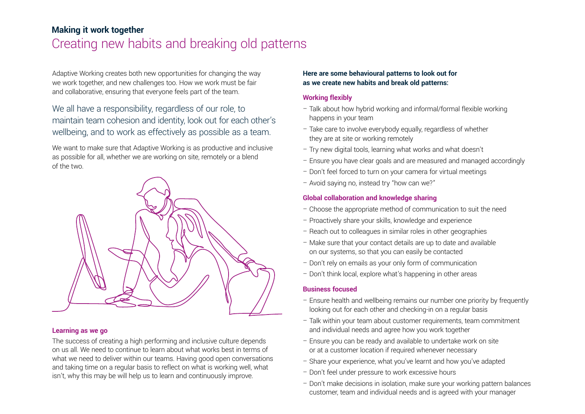# **Making it work together** Creating new habits and breaking old patterns

Adaptive Working creates both new opportunities for changing the way we work together, and new challenges too. How we work must be fair and collaborative, ensuring that everyone feels part of the team.

We all have a responsibility, regardless of our role, to maintain team cohesion and identity, look out for each other's wellbeing, and to work as effectively as possible as a team.

We want to make sure that Adaptive Working is as productive and inclusive as possible for all, whether we are working on site, remotely or a blend of the two.



## **Learning as we go**

The success of creating a high performing and inclusive culture depends on us all. We need to continue to learn about what works best in terms of what we need to deliver within our teams. Having good open conversations and taking time on a regular basis to reflect on what is working well, what isn't, why this may be will help us to learn and continuously improve.

## **Here are some behavioural patterns to look out for as we create new habits and break old patterns:**

## **Working flexibly**

- Talk about how hybrid working and informal/formal flexible working happens in your team
- Take care to involve everybody equally, regardless of whether they are at site or working remotely
- Try new digital tools, learning what works and what doesn't
- Ensure you have clear goals and are measured and managed accordingly
- Don't feel forced to turn on your camera for virtual meetings
- Avoid saying no, instead try "how can we?"

# **Global collaboration and knowledge sharing**

- Choose the appropriate method of communication to suit the need
- Proactively share your skills, knowledge and experience
- Reach out to colleagues in similar roles in other geographies
- Make sure that your contact details are up to date and available on our systems, so that you can easily be contacted
- Don't rely on emails as your only form of communication
- Don't think local, explore what's happening in other areas

## **Business focused**

- Ensure health and wellbeing remains our number one priority by frequently looking out for each other and checking-in on a regular basis
- Talk within your team about customer requirements, team commitment and individual needs and agree how you work together
- Ensure you can be ready and available to undertake work on site or at a customer location if required whenever necessary
- Share your experience, what you've learnt and how you've adapted
- Don't feel under pressure to work excessive hours
- Don't make decisions in isolation, make sure your working pattern balances customer, team and individual needs and is agreed with your manager